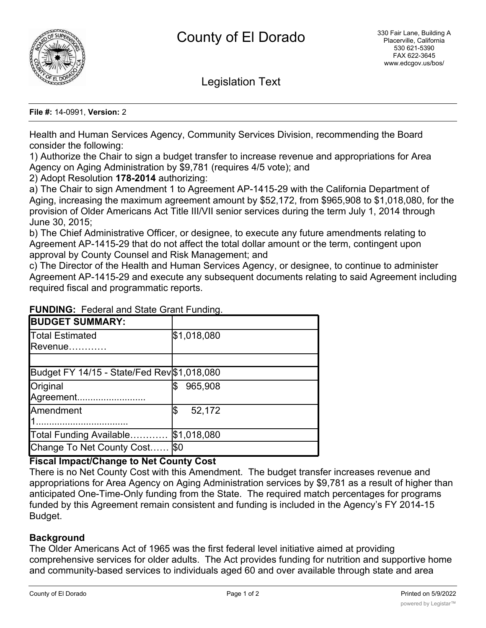

Legislation Text

**File #:** 14-0991, **Version:** 2

Health and Human Services Agency, Community Services Division, recommending the Board consider the following:

1) Authorize the Chair to sign a budget transfer to increase revenue and appropriations for Area Agency on Aging Administration by \$9,781 (requires 4/5 vote); and

2) Adopt Resolution **178-2014** authorizing:

a) The Chair to sign Amendment 1 to Agreement AP-1415-29 with the California Department of Aging, increasing the maximum agreement amount by \$52,172, from \$965,908 to \$1,018,080, for the provision of Older Americans Act Title III/VII senior services during the term July 1, 2014 through June 30, 2015;

b) The Chief Administrative Officer, or designee, to execute any future amendments relating to Agreement AP-1415-29 that do not affect the total dollar amount or the term, contingent upon approval by County Counsel and Risk Management; and

c) The Director of the Health and Human Services Agency, or designee, to continue to administer Agreement AP-1415-29 and execute any subsequent documents relating to said Agreement including required fiscal and programmatic reports.

| <b>BUDGET SUMMARY:</b>                      |               |
|---------------------------------------------|---------------|
| Total Estimated                             | \$1,018,080   |
| Revenue                                     |               |
|                                             |               |
| Budget FY 14/15 - State/Fed Rev \$1,018,080 |               |
| Original                                    | 965,908       |
| Agreement                                   |               |
| Amendment                                   | 52,172<br>1\$ |
|                                             |               |
| Total Funding Available                     | \$1,018,080   |
| Change To Net County Cost.                  | l\$0          |

## **FUNDING:** Federal and State Grant Funding.

# **Fiscal Impact/Change to Net County Cost**

There is no Net County Cost with this Amendment. The budget transfer increases revenue and appropriations for Area Agency on Aging Administration services by \$9,781 as a result of higher than anticipated One-Time-Only funding from the State. The required match percentages for programs funded by this Agreement remain consistent and funding is included in the Agency's FY 2014-15 Budget.

### **Background**

The Older Americans Act of 1965 was the first federal level initiative aimed at providing comprehensive services for older adults. The Act provides funding for nutrition and supportive home and community-based services to individuals aged 60 and over available through state and area